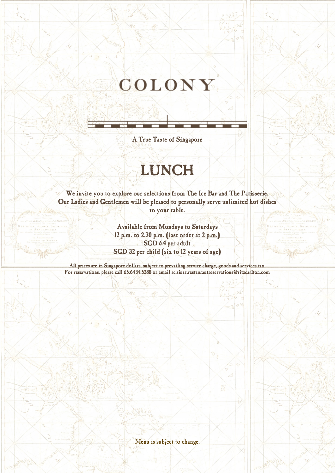# COLONY.

A True Taste of Singapore

## LUNCH

We invite you to explore our selections from The Ice Bar and The Patisserie. Our Ladies and Gentlemen will be pleased to personally serve unlimited hot dishes to your table.

> Available from Mondays to Saturdays 12 p.m. to 2.30 p.m. (last order at 2 p.m.) SGD 64 per adult SGD 32 per child (six to 12 years of age)

All prices are in Singapore dollars, subject to prevailing service charge, goods and services tax. For reservations, please call 65.6434.5288 or email rc.sinrz.restaurantreservations@ritzcarlton.com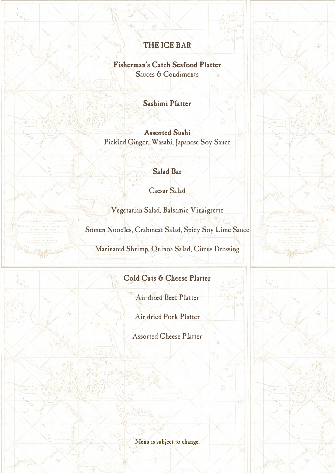#### THE ICE BAR

#### Fisherman's Catch Seafood Platter

Sauces & Condiments

#### Sashimi Platter

Assorted Sushi Pickled Ginger, Wasabi, Japanese Soy Sauce

## Salad Bar

Caesar Salad

Vegetarian Salad, Balsamic Vinaigrette

Somen Noodles, Crabmeat Salad, Spicy Soy Lime Sauce

Marinated Shrimp, Quinoa Salad, Citrus Dressing

#### Cold Cuts & Cheese Platter

Air-dried Beef Platter

Air-dried Pork Platter

Assorted Cheese Platter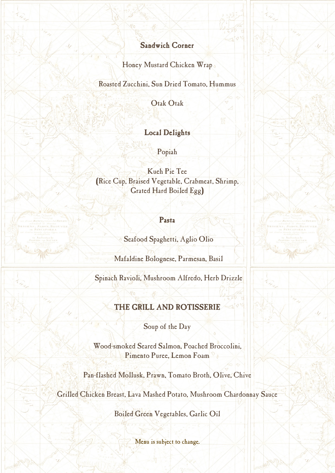#### Sandwich Corner

Honey Mustard Chicken Wrap

Roasted Zucchini, Sun Dried Tomato, Hummus

Otak Otak

#### Local Delights

Popiah

Kueh Pie Tee (Rice Cup, Braised Vegetable, Crabmeat, Shrimp, Grated Hard Boiled Egg)

#### Pasta

Seafood Spaghetti, Aglio Olio

Mafaldine Bolognese, Parmesan, Basil

Spinach Ravioli, Mushroom Alfredo, Herb Drizzle

#### THE GRILL AND ROTISSERIE

Soup of the Day

Wood-smoked Seared Salmon, Poached Broccolini, Pimento Puree, Lemon Foam

Pan-flashed Mollusk, Prawn, Tomato Broth, Olive, Chive

Grilled Chicken Breast, Lava Mashed Potato, Mushroom Chardonnay Sauce

Boiled Green Vegetables, Garlic Oil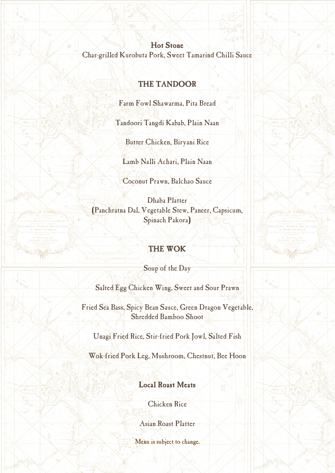Hot Stone Char-grilled Kurobuta Pork, Sweet Tamarind Chilli Sauce

## THE TANDOOR

Farm Fowl Shawarma, Pita Bread

Tandoori Tangdi Kabab, Plain Naan

Butter Chicken, Biryani Rice

Lamb Nalli Achari, Plain Naan

Coconut Prawn, Balchao Sauce

Dhaba Platter (Panchratna Dal, Vegetable Stew, Paneer, Capsicum, Spinach Pakora)

## THE WOK

Soup of the Day

Salted Egg Chicken Wing, Sweet and Sour Prawn

Fried Sea Bass, Spicy Bean Sauce, Green Dragon Vegetable, Shredded Bamboo Shoot

Unagi Fried Rice, Stir-fried Pork Jowl, Salted Fish

Wok-fried Pork Leg, Mushroom, Chestnut, Bee Hoon

## Local Roast Meats

Chicken Rice

Asian Roast Platter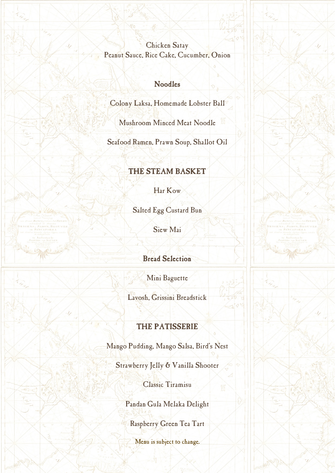Chicken Satay Peanut Sauce, Rice Cake, Cucumber, Onion

#### Noodles

Colony Laksa, Homemade Lobster Ball

Mushroom Minced Meat Noodle

Seafood Ramen, Prawn Soup, Shallot Oil

## THE STEAM BASKET

Har Kow

Salted Egg Custard Bun

Siew Mai

Bread Selection

Mini Baguette

Lavosh, Grissini Breadstick

## THE PATISSERIE

Mango Pudding, Mango Salsa, Bird's Nest

Strawberry Jelly & Vanilla Shooter

Classic Tiramisu

Pandan Gula Melaka Delight

Raspberry Green Tea Tart